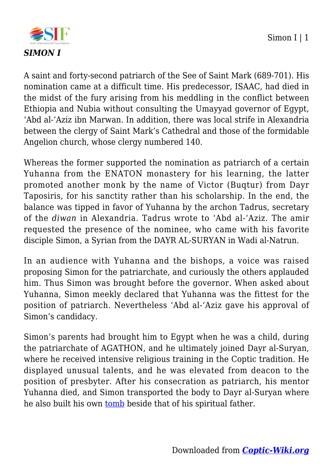Simon I | 1



A saint and forty-second patriarch of the See of Saint Mark (689-701). His nomination came at a difficult time. His predecessor, ISAAC, had died in the midst of the fury arising from his meddling in the conflict between Ethiopia and Nubia without consulting the Umayyad governor of Egypt, 'Abd al-'Aziz ibn Marwan. In addition, there was local strife in Alexandria between the clergy of Saint Mark's Cathedral and those of the formidable Angelion church, whose clergy numbered 140.

Whereas the former supported the nomination as patriarch of a certain Yuhanna from the ENATON monastery for his learning, the latter promoted another monk by the name of Victor (Buqtur) from Dayr Taposiris, for his sanctity rather than his scholarship. In the end, the balance was tipped in favor of Yuhanna by the archon Tadrus, secretary of the *diwan* in Alexandria. Tadrus wrote to 'Abd al-'Aziz. The amir requested the presence of the nominee, who came with his favorite disciple Simon, a Syrian from the DAYR AL-SURYAN in Wadi al-Natrun.

In an audience with Yuhanna and the bishops, a voice was raised proposing Simon for the patriarchate, and curiously the others applauded him. Thus Simon was brought before the governor. When asked about Yuhanna, Simon meekly declared that Yuhanna was the fittest for the position of patriarch. Nevertheless 'Abd al-'Aziz gave his approval of Simon's candidacy.

Simon's parents had brought him to Egypt when he was a child, during the patriarchate of AGATHON, and he ultimately joined Dayr al-Suryan, where he received intensive religious training in the Coptic tradition. He displayed unusual talents, and he was elevated from deacon to the position of presbyter. After his consecration as patriarch, his mentor Yuhanna died, and Simon transported the body to Dayr al-Suryan where he also built his own [tomb](https://coptic-wiki.org/tag/tomb) beside that of his spiritual father.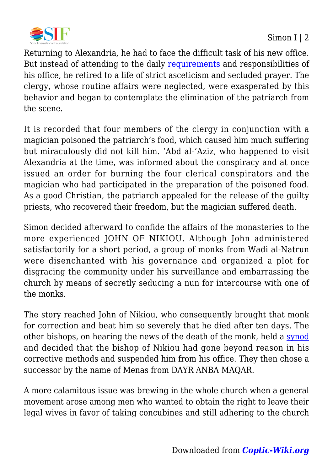

Returning to Alexandria, he had to face the difficult task of his new office. But instead of attending to the daily [requirements](https://coptic-wiki.org/tag/requirements) and responsibilities of his office, he retired to a life of strict asceticism and secluded prayer. The clergy, whose routine affairs were neglected, were exasperated by this behavior and began to contemplate the elimination of the patriarch from the scene.

It is recorded that four members of the clergy in conjunction with a magician poisoned the patriarch's food, which caused him much suffering but miraculously did not kill him. 'Abd al-'Aziz, who happened to visit Alexandria at the time, was informed about the conspiracy and at once issued an order for burning the four clerical conspirators and the magician who had participated in the preparation of the poisoned food. As a good Christian, the patriarch appealed for the release of the guilty priests, who recovered their freedom, but the magician suffered death.

Simon decided afterward to confide the affairs of the monasteries to the more experienced JOHN OF NIKIOU. Although John administered satisfactorily for a short period, a group of monks from Wadi al-Natrun were disenchanted with his governance and organized a plot for disgracing the community under his surveillance and embarrassing the church by means of secretly seducing a nun for intercourse with one of the monks.

The story reached John of Nikiou, who consequently brought that monk for correction and beat him so severely that he died after ten days. The other bishops, on hearing the news of the death of the monk, held a [synod](https://coptic-wiki.org/tag/synod) and decided that the bishop of Nikiou had gone beyond reason in his corrective methods and suspended him from his office. They then chose a successor by the name of Menas from DAYR ANBA MAQAR.

A more calamitous issue was brewing in the whole church when a general movement arose among men who wanted to obtain the right to leave their legal wives in favor of taking concubines and still adhering to the church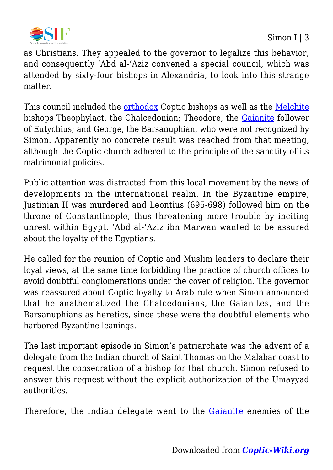

as Christians. They appealed to the governor to legalize this behavior, and consequently 'Abd al-'Aziz convened a special council, which was attended by sixty-four bishops in Alexandria, to look into this strange matter.

This council included the **orthodox** Coptic bishops as well as the [Melchite](https://coptic-wiki.org/tag/melchite) bishops Theophylact, the Chalcedonian; Theodore, the [Gaianite](https://coptic-wiki.org/tag/gaianite) follower of Eutychius; and George, the Barsanuphian, who were not recognized by Simon. Apparently no concrete result was reached from that meeting, although the Coptic church adhered to the principle of the sanctity of its matrimonial policies.

Public attention was distracted from this local movement by the news of developments in the international realm. In the Byzantine empire, Justinian II was murdered and Leontius (695-698) followed him on the throne of Constantinople, thus threatening more trouble by inciting unrest within Egypt. 'Abd al-'Aziz ibn Marwan wanted to be assured about the loyalty of the Egyptians.

He called for the reunion of Coptic and Muslim leaders to declare their loyal views, at the same time forbidding the practice of church offices to avoid doubtful conglomerations under the cover of religion. The governor was reassured about Coptic loyalty to Arab rule when Simon announced that he anathematized the Chalcedonians, the Gaianites, and the Barsanuphians as heretics, since these were the doubtful elements who harbored Byzantine leanings.

The last important episode in Simon's patriarchate was the advent of a delegate from the Indian church of Saint Thomas on the Malabar coast to request the consecration of a bishop for that church. Simon refused to answer this request without the explicit authorization of the Umayyad authorities.

Therefore, the Indian delegate went to the [Gaianite](https://coptic-wiki.org/tag/gaianite) enemies of the